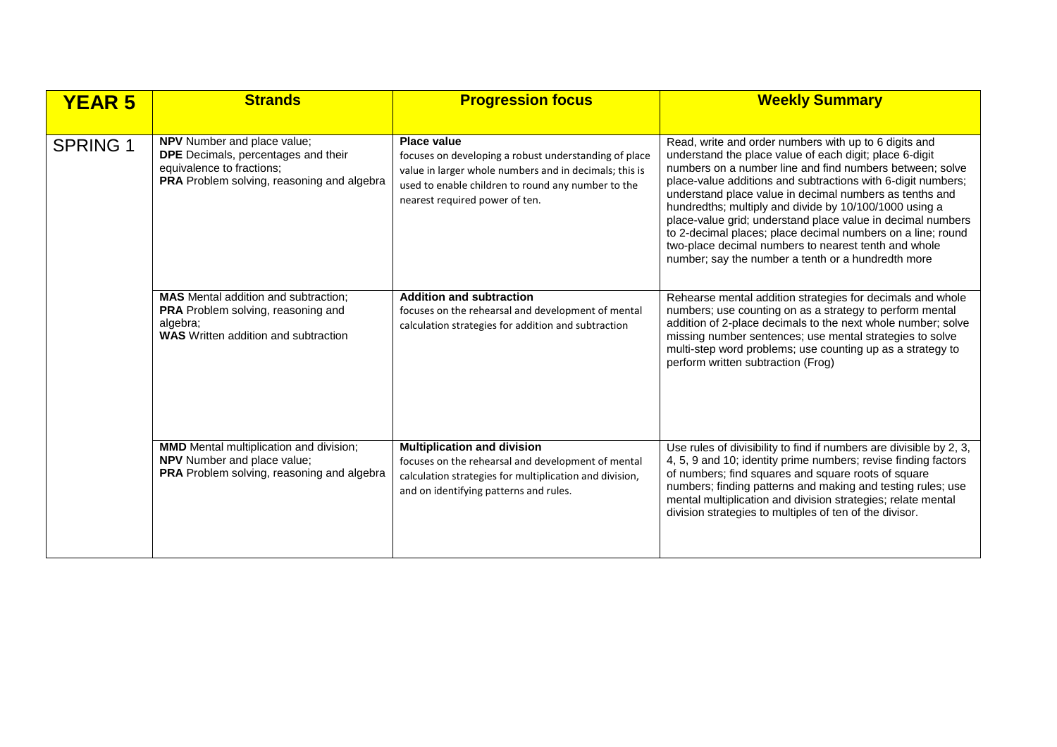| <b>YEAR 5</b>   | <b>Strands</b>                                                                                                                                | <b>Progression focus</b>                                                                                                                                                                                                      | <b>Weekly Summary</b>                                                                                                                                                                                                                                                                                                                                                                                                                                                                                                                                                                                         |
|-----------------|-----------------------------------------------------------------------------------------------------------------------------------------------|-------------------------------------------------------------------------------------------------------------------------------------------------------------------------------------------------------------------------------|---------------------------------------------------------------------------------------------------------------------------------------------------------------------------------------------------------------------------------------------------------------------------------------------------------------------------------------------------------------------------------------------------------------------------------------------------------------------------------------------------------------------------------------------------------------------------------------------------------------|
| <b>SPRING 1</b> | NPV Number and place value;<br>DPE Decimals, percentages and their<br>equivalence to fractions;<br>PRA Problem solving, reasoning and algebra | <b>Place value</b><br>focuses on developing a robust understanding of place<br>value in larger whole numbers and in decimals; this is<br>used to enable children to round any number to the<br>nearest required power of ten. | Read, write and order numbers with up to 6 digits and<br>understand the place value of each digit; place 6-digit<br>numbers on a number line and find numbers between; solve<br>place-value additions and subtractions with 6-digit numbers;<br>understand place value in decimal numbers as tenths and<br>hundredths; multiply and divide by 10/100/1000 using a<br>place-value grid; understand place value in decimal numbers<br>to 2-decimal places; place decimal numbers on a line; round<br>two-place decimal numbers to nearest tenth and whole<br>number; say the number a tenth or a hundredth more |
|                 | <b>MAS</b> Mental addition and subtraction;<br>PRA Problem solving, reasoning and<br>algebra;<br><b>WAS</b> Written addition and subtraction  | <b>Addition and subtraction</b><br>focuses on the rehearsal and development of mental<br>calculation strategies for addition and subtraction                                                                                  | Rehearse mental addition strategies for decimals and whole<br>numbers; use counting on as a strategy to perform mental<br>addition of 2-place decimals to the next whole number; solve<br>missing number sentences; use mental strategies to solve<br>multi-step word problems; use counting up as a strategy to<br>perform written subtraction (Frog)                                                                                                                                                                                                                                                        |
|                 | <b>MMD</b> Mental multiplication and division;<br><b>NPV</b> Number and place value;<br>PRA Problem solving, reasoning and algebra            | <b>Multiplication and division</b><br>focuses on the rehearsal and development of mental<br>calculation strategies for multiplication and division,<br>and on identifying patterns and rules.                                 | Use rules of divisibility to find if numbers are divisible by 2, 3,<br>4, 5, 9 and 10; identity prime numbers; revise finding factors<br>of numbers; find squares and square roots of square<br>numbers; finding patterns and making and testing rules; use<br>mental multiplication and division strategies; relate mental<br>division strategies to multiples of ten of the divisor.                                                                                                                                                                                                                        |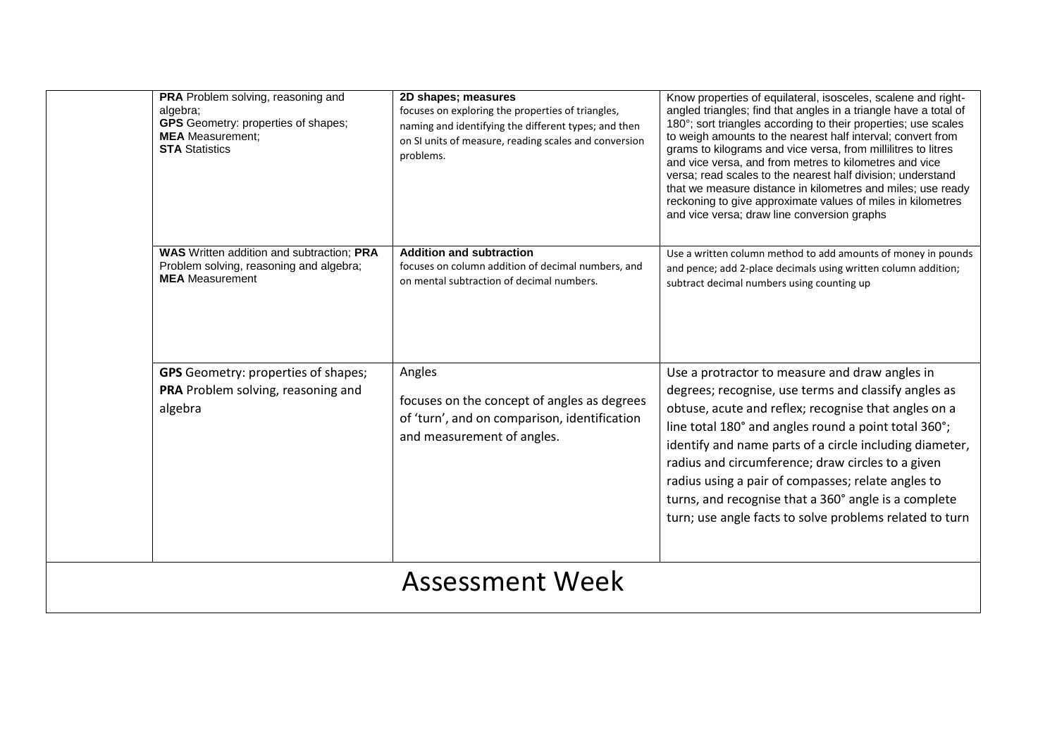|                        | PRA Problem solving, reasoning and<br>algebra;<br><b>GPS</b> Geometry: properties of shapes;<br><b>MEA</b> Measurement:<br><b>STA Statistics</b> | 2D shapes; measures<br>focuses on exploring the properties of triangles,<br>naming and identifying the different types; and then<br>on SI units of measure, reading scales and conversion<br>problems. | Know properties of equilateral, isosceles, scalene and right-<br>angled triangles; find that angles in a triangle have a total of<br>180°; sort triangles according to their properties; use scales<br>to weigh amounts to the nearest half interval; convert from<br>grams to kilograms and vice versa, from millilitres to litres<br>and vice versa, and from metres to kilometres and vice<br>versa; read scales to the nearest half division; understand<br>that we measure distance in kilometres and miles; use ready<br>reckoning to give approximate values of miles in kilometres<br>and vice versa; draw line conversion graphs |  |
|------------------------|--------------------------------------------------------------------------------------------------------------------------------------------------|--------------------------------------------------------------------------------------------------------------------------------------------------------------------------------------------------------|-------------------------------------------------------------------------------------------------------------------------------------------------------------------------------------------------------------------------------------------------------------------------------------------------------------------------------------------------------------------------------------------------------------------------------------------------------------------------------------------------------------------------------------------------------------------------------------------------------------------------------------------|--|
|                        | WAS Written addition and subtraction; PRA<br>Problem solving, reasoning and algebra;<br><b>MEA</b> Measurement                                   | <b>Addition and subtraction</b><br>focuses on column addition of decimal numbers, and<br>on mental subtraction of decimal numbers.                                                                     | Use a written column method to add amounts of money in pounds<br>and pence; add 2-place decimals using written column addition;<br>subtract decimal numbers using counting up                                                                                                                                                                                                                                                                                                                                                                                                                                                             |  |
|                        | <b>GPS</b> Geometry: properties of shapes;<br>PRA Problem solving, reasoning and<br>algebra                                                      | Angles<br>focuses on the concept of angles as degrees<br>of 'turn', and on comparison, identification<br>and measurement of angles.                                                                    | Use a protractor to measure and draw angles in<br>degrees; recognise, use terms and classify angles as<br>obtuse, acute and reflex; recognise that angles on a<br>line total 180° and angles round a point total 360°;<br>identify and name parts of a circle including diameter,<br>radius and circumference; draw circles to a given<br>radius using a pair of compasses; relate angles to<br>turns, and recognise that a 360° angle is a complete<br>turn; use angle facts to solve problems related to turn                                                                                                                           |  |
| <b>Assessment Week</b> |                                                                                                                                                  |                                                                                                                                                                                                        |                                                                                                                                                                                                                                                                                                                                                                                                                                                                                                                                                                                                                                           |  |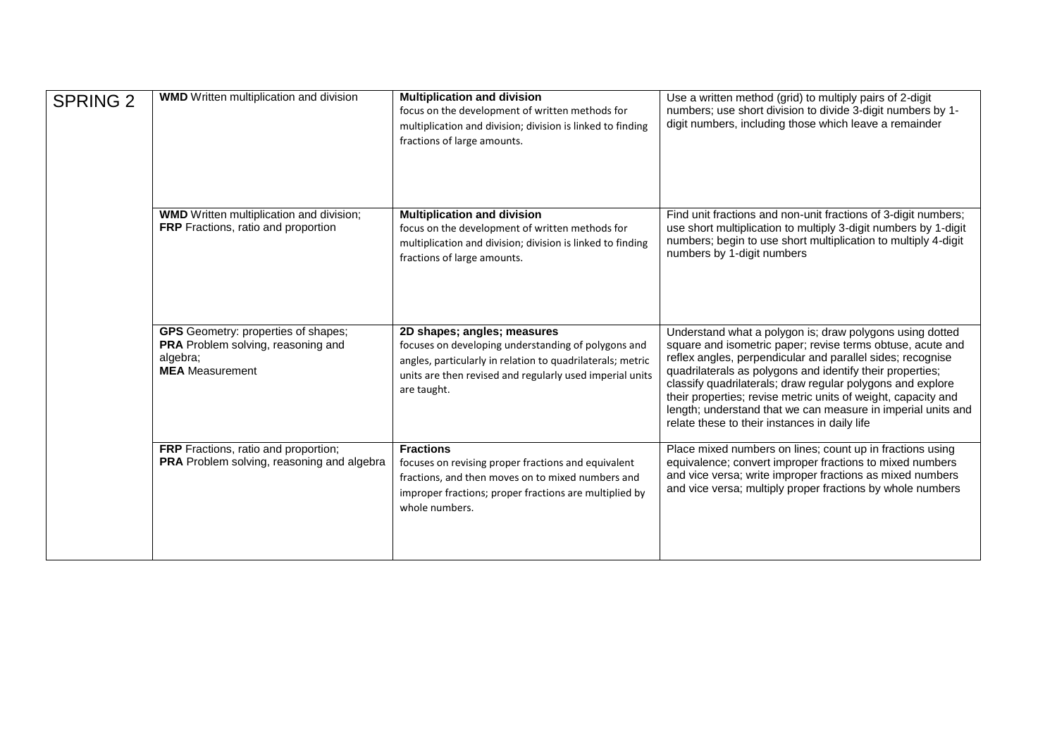| <b>SPRING 2</b> | <b>WMD</b> Written multiplication and division                                                                         | <b>Multiplication and division</b><br>focus on the development of written methods for<br>multiplication and division; division is linked to finding<br>fractions of large amounts.                                          | Use a written method (grid) to multiply pairs of 2-digit<br>numbers; use short division to divide 3-digit numbers by 1-<br>digit numbers, including those which leave a remainder                                                                                                                                                                                                                                                                                                                 |
|-----------------|------------------------------------------------------------------------------------------------------------------------|-----------------------------------------------------------------------------------------------------------------------------------------------------------------------------------------------------------------------------|---------------------------------------------------------------------------------------------------------------------------------------------------------------------------------------------------------------------------------------------------------------------------------------------------------------------------------------------------------------------------------------------------------------------------------------------------------------------------------------------------|
|                 | <b>WMD</b> Written multiplication and division;<br>FRP Fractions, ratio and proportion                                 | <b>Multiplication and division</b><br>focus on the development of written methods for<br>multiplication and division; division is linked to finding<br>fractions of large amounts.                                          | Find unit fractions and non-unit fractions of 3-digit numbers;<br>use short multiplication to multiply 3-digit numbers by 1-digit<br>numbers; begin to use short multiplication to multiply 4-digit<br>numbers by 1-digit numbers                                                                                                                                                                                                                                                                 |
|                 | <b>GPS</b> Geometry: properties of shapes;<br>PRA Problem solving, reasoning and<br>algebra;<br><b>MEA</b> Measurement | 2D shapes; angles; measures<br>focuses on developing understanding of polygons and<br>angles, particularly in relation to quadrilaterals; metric<br>units are then revised and regularly used imperial units<br>are taught. | Understand what a polygon is; draw polygons using dotted<br>square and isometric paper; revise terms obtuse, acute and<br>reflex angles, perpendicular and parallel sides; recognise<br>quadrilaterals as polygons and identify their properties;<br>classify quadrilaterals; draw regular polygons and explore<br>their properties; revise metric units of weight, capacity and<br>length; understand that we can measure in imperial units and<br>relate these to their instances in daily life |
|                 | FRP Fractions, ratio and proportion;<br>PRA Problem solving, reasoning and algebra                                     | <b>Fractions</b><br>focuses on revising proper fractions and equivalent<br>fractions, and then moves on to mixed numbers and<br>improper fractions; proper fractions are multiplied by<br>whole numbers.                    | Place mixed numbers on lines; count up in fractions using<br>equivalence; convert improper fractions to mixed numbers<br>and vice versa; write improper fractions as mixed numbers<br>and vice versa; multiply proper fractions by whole numbers                                                                                                                                                                                                                                                  |